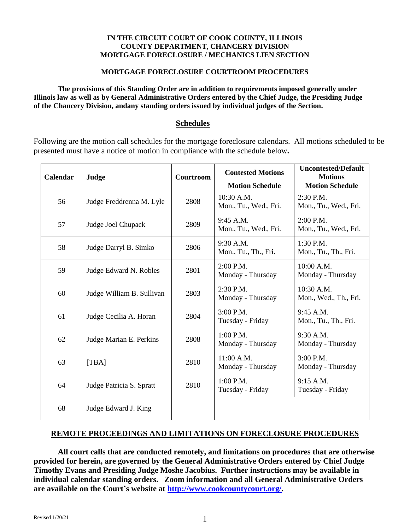### **IN THE CIRCUIT COURT OF COOK COUNTY, ILLINOIS COUNTY DEPARTMENT, CHANCERY DIVISION MORTGAGE FORECLOSURE / MECHANICS LIEN SECTION**

## **MORTGAGE FORECLOSURE COURTROOM PROCEDURES**

**The provisions of this Standing Order are in addition to requirements imposed generally under Illinois law as well as by General Administrative Orders entered by the Chief Judge, the Presiding Judge of the Chancery Division, andany standing orders issued by individual judges of the Section.** 

## **Schedules**

Following are the motion call schedules for the mortgage foreclosure calendars. All motions scheduled to be presented must have a notice of motion in compliance with the schedule below**.** 

| Calendar | Judge                     | <b>Courtroom</b> | <b>Contested Motions</b>            | <b>Uncontested/Default</b><br><b>Motions</b> |
|----------|---------------------------|------------------|-------------------------------------|----------------------------------------------|
|          |                           |                  | <b>Motion Schedule</b>              | <b>Motion Schedule</b>                       |
| 56       | Judge Freddrenna M. Lyle  | 2808             | 10:30 A.M.<br>Mon., Tu., Wed., Fri. | 2:30 P.M.<br>Mon., Tu., Wed., Fri.           |
| 57       | Judge Joel Chupack        | 2809             | 9:45 A.M.<br>Mon., Tu., Wed., Fri.  | $2:00$ P.M.<br>Mon., Tu., Wed., Fri.         |
| 58       | Judge Darryl B. Simko     | 2806             | 9:30 A.M.<br>Mon., Tu., Th., Fri.   | 1:30 P.M.<br>Mon., Tu., Th., Fri.            |
| 59       | Judge Edward N. Robles    | 2801             | 2:00 P.M.<br>Monday - Thursday      | 10:00 A.M.<br>Monday - Thursday              |
| 60       | Judge William B. Sullivan | 2803             | 2:30 P.M.<br>Monday - Thursday      | $10:30$ A.M.<br>Mon., Wed., Th., Fri.        |
| 61       | Judge Cecilia A. Horan    | 2804             | 3:00 P.M.<br>Tuesday - Friday       | 9:45 A.M.<br>Mon., Tu., Th., Fri.            |
| 62       | Judge Marian E. Perkins   | 2808             | $1:00$ P.M.<br>Monday - Thursday    | 9:30 A.M.<br>Monday - Thursday               |
| 63       | [TBA]                     | 2810             | $11:00$ A.M.<br>Monday - Thursday   | 3:00 P.M.<br>Monday - Thursday               |
| 64       | Judge Patricia S. Spratt  | 2810             | $1:00$ P.M.<br>Tuesday - Friday     | 9:15 A.M.<br>Tuesday - Friday                |
| 68       | Judge Edward J. King      |                  |                                     |                                              |

# **REMOTE PROCEEDINGS AND LIMITATIONS ON FORECLOSURE PROCEDURES**

**All court calls that are conducted remotely, and limitations on procedures that are otherwise provided for herein, are governed by the General Administrative Orders entered by Chief Judge Timothy Evans and Presiding Judge Moshe Jacobius. Further instructions may be available in individual calendar standing orders. Zoom information and all General Administrative Orders are available on the Court's website at [http://www.cookcountycourt.org/.](http://www.cookcountycourt.org/)**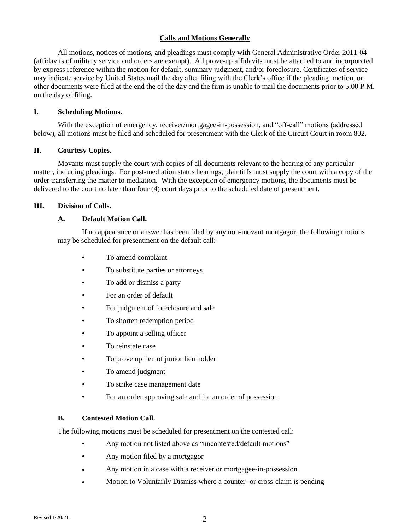## **Calls and Motions Generally**

All motions, notices of motions, and pleadings must comply with General Administrative Order 2011-04 (affidavits of military service and orders are exempt). All prove-up affidavits must be attached to and incorporated by express reference within the motion for default, summary judgment, and/or foreclosure. Certificates of service may indicate service by United States mail the day after filing with the Clerk's office if the pleading, motion, or other documents were filed at the end the of the day and the firm is unable to mail the documents prior to 5:00 P.M. on the day of filing.

### **I. Scheduling Motions.**

With the exception of emergency, receiver/mortgagee-in-possession, and "off-call" motions (addressed below), all motions must be filed and scheduled for presentment with the Clerk of the Circuit Court in room 802.

### **II. Courtesy Copies.**

Movants must supply the court with copies of all documents relevant to the hearing of any particular matter, including pleadings. For post-mediation status hearings, plaintiffs must supply the court with a copy of the order transferring the matter to mediation. With the exception of emergency motions, the documents must be delivered to the court no later than four (4) court days prior to the scheduled date of presentment.

#### **III. Division of Calls.**

#### **A. Default Motion Call.**

If no appearance or answer has been filed by any non-movant mortgagor, the following motions may be scheduled for presentment on the default call:

- To amend complaint
- To substitute parties or attorneys
- To add or dismiss a party
- For an order of default
- For judgment of foreclosure and sale
- To shorten redemption period
- To appoint a selling officer
- To reinstate case
- To prove up lien of junior lien holder
- To amend judgment
- To strike case management date
- For an order approving sale and for an order of possession

#### **B. Contested Motion Call.**

The following motions must be scheduled for presentment on the contested call:

- Any motion not listed above as "uncontested/default motions"
- Any motion filed by a mortgagor
- Any motion in a case with a receiver or mortgagee-in-possession
- Motion to Voluntarily Dismiss where a counter- or cross-claim is pending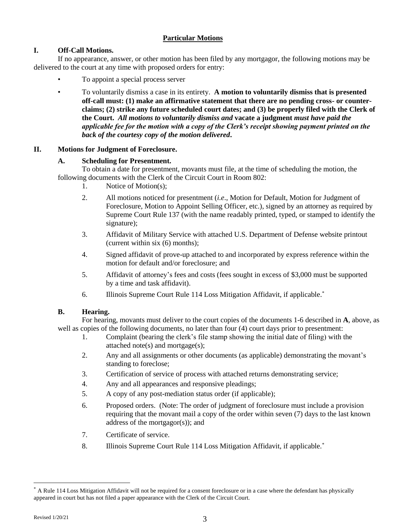# **Particular Motions**

# **I. Off-Call Motions.**

If no appearance, answer, or other motion has been filed by any mortgagor, the following motions may be delivered to the court at any time with proposed orders for entry:

- To appoint a special process server
- To voluntarily dismiss a case in its entirety. **A motion to voluntarily dismiss that is presented off-call must: (1) make an affirmative statement that there are no pending cross- or counterclaims; (2) strike any future scheduled court dates; and (3) be properly filed with the Clerk of the Court.** *All motions to voluntarily dismiss and* **vacate a judgment** *must have paid the applicable fee for the motion with a copy of the Clerk's receipt showing payment printed on the back of the courtesy copy of the motion delivered***.**

## **II. Motions for Judgment of Foreclosure.**

## **A. Scheduling for Presentment.**

To obtain a date for presentment, movants must file, at the time of scheduling the motion, the following documents with the Clerk of the Circuit Court in Room 802:

- 1. Notice of Motion(s);
- 2. All motions noticed for presentment (*i.e*., Motion for Default, Motion for Judgment of Foreclosure, Motion to Appoint Selling Officer, etc.), signed by an attorney as required by Supreme Court Rule 137 (with the name readably printed, typed, or stamped to identify the signature);
- 3. Affidavit of Military Service with attached U.S. Department of Defense website printout (current within six (6) months);
- 4. Signed affidavit of prove-up attached to and incorporated by express reference within the motion for default and/or foreclosure; and
- 5. Affidavit of attorney's fees and costs (fees sought in excess of \$3,000 must be supported by a time and task affidavit).
- 6. Illinois Supreme Court Rule 114 Loss Mitigation Affidavit, if applicable. \*

## **B. Hearing.**

For hearing, movants must deliver to the court copies of the documents 1-6 described in **A**, above, as well as copies of the following documents, no later than four (4) court days prior to presentment:

- 1. Complaint (bearing the clerk's file stamp showing the initial date of filing) with the attached note(s) and mortgage(s);
- 2. Any and all assignments or other documents (as applicable) demonstrating the movant's standing to foreclose;
- 3. Certification of service of process with attached returns demonstrating service;
- 4. Any and all appearances and responsive pleadings;
- 5. A copy of any post-mediation status order (if applicable);
- 6. Proposed orders. (Note: The order of judgment of foreclosure must include a provision requiring that the movant mail a copy of the order within seven (7) days to the last known address of the mortgagor(s)); and
- 7. Certificate of service.
- 8. Illinois Supreme Court Rule 114 Loss Mitigation Affidavit, if applicable.\*

 $\overline{a}$ 

<sup>\*</sup> A Rule 114 Loss Mitigation Affidavit will not be required for a consent foreclosure or in a case where the defendant has physically appeared in court but has not filed a paper appearance with the Clerk of the Circuit Court.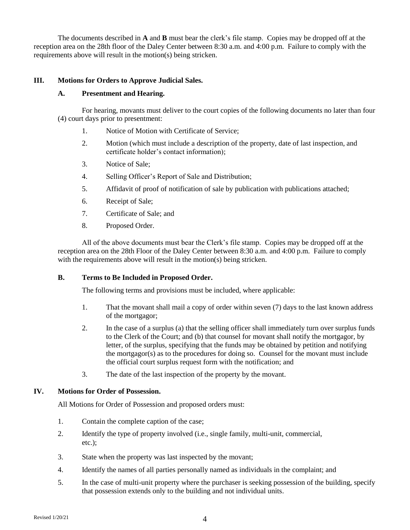The documents described in **A** and **B** must bear the clerk's file stamp. Copies may be dropped off at the reception area on the 28th floor of the Daley Center between 8:30 a.m. and 4:00 p.m. Failure to comply with the requirements above will result in the motion(s) being stricken.

## **III. Motions for Orders to Approve Judicial Sales.**

### **A. Presentment and Hearing.**

For hearing, movants must deliver to the court copies of the following documents no later than four (4) court days prior to presentment:

- 1. Notice of Motion with Certificate of Service;
- 2. Motion (which must include a description of the property, date of last inspection, and certificate holder's contact information);
- 3. Notice of Sale;
- 4. Selling Officer's Report of Sale and Distribution;
- 5. Affidavit of proof of notification of sale by publication with publications attached;
- 6. Receipt of Sale;
- 7. Certificate of Sale; and
- 8. Proposed Order.

All of the above documents must bear the Clerk's file stamp. Copies may be dropped off at the reception area on the 28th Floor of the Daley Center between 8:30 a.m. and 4:00 p.m. Failure to comply with the requirements above will result in the motion(s) being stricken.

### **B. Terms to Be Included in Proposed Order.**

The following terms and provisions must be included, where applicable:

- 1. That the movant shall mail a copy of order within seven (7) days to the last known address of the mortgagor;
- 2. In the case of a surplus (a) that the selling officer shall immediately turn over surplus funds to the Clerk of the Court; and (b) that counsel for movant shall notify the mortgagor, by letter, of the surplus, specifying that the funds may be obtained by petition and notifying the mortgagor(s) as to the procedures for doing so. Counsel for the movant must include the official court surplus request form with the notification; and
- 3. The date of the last inspection of the property by the movant.

## **IV. Motions for Order of Possession.**

All Motions for Order of Possession and proposed orders must:

- 1. Contain the complete caption of the case;
- 2. Identify the type of property involved (i.e., single family, multi-unit, commercial, etc.);
- 3. State when the property was last inspected by the movant;
- 4. Identify the names of all parties personally named as individuals in the complaint; and
- 5. In the case of multi-unit property where the purchaser is seeking possession of the building, specify that possession extends only to the building and not individual units.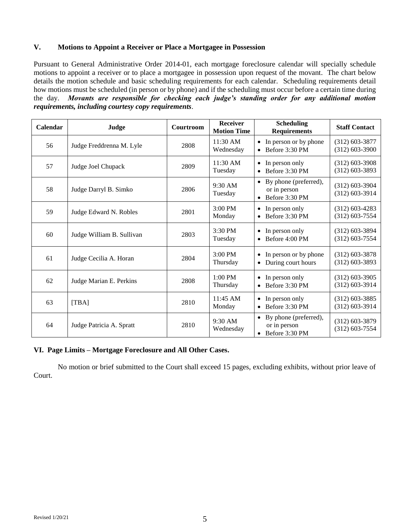### **V. Motions to Appoint a Receiver or Place a Mortgagee in Possession**

Pursuant to General Administrative Order 2014-01, each mortgage foreclosure calendar will specially schedule motions to appoint a receiver or to place a mortgagee in possession upon request of the movant. The chart below details the motion schedule and basic scheduling requirements for each calendar. Scheduling requirements detail how motions must be scheduled (in person or by phone) and if the scheduling must occur before a certain time during the day. *Movants are responsible for checking each judge's standing order for any additional motion requirements, including courtesy copy requirements*.

| Calendar | Judge                     | Courtroom | <b>Receiver</b><br><b>Motion Time</b> | <b>Scheduling</b><br><b>Requirements</b>                            | <b>Staff Contact</b>                 |
|----------|---------------------------|-----------|---------------------------------------|---------------------------------------------------------------------|--------------------------------------|
| 56       | Judge Freddrenna M. Lyle  | 2808      | 11:30 AM<br>Wednesday                 | • In person or by phone<br>$\bullet$ Before 3:30 PM                 | $(312)$ 603-3877<br>$(312)$ 603-3900 |
| 57       | Judge Joel Chupack        | 2809      | $11:30$ AM<br>Tuesday                 | $\bullet$ In person only<br>$\bullet$ Before 3:30 PM                | $(312)$ 603-3908<br>$(312)$ 603-3893 |
| 58       | Judge Darryl B. Simko     | 2806      | $9:30$ AM<br>Tuesday                  | • By phone (preferred),<br>or in person<br>Before 3:30 PM           | $(312)$ 603-3904<br>$(312)$ 603-3914 |
| 59       | Judge Edward N. Robles    | 2801      | $3:00$ PM<br>Monday                   | $\bullet$ In person only<br>$\bullet$ Before 3:30 PM                | $(312)$ 603-4283<br>$(312)$ 603-7554 |
| 60       | Judge William B. Sullivan | 2803      | 3:30 PM<br>Tuesday                    | $\bullet$ In person only<br>$\bullet$ Before 4:00 PM                | $(312)$ 603-3894<br>$(312)$ 603-7554 |
| 61       | Judge Cecilia A. Horan    | 2804      | $3:00$ PM<br>Thursday                 | • In person or by phone<br>• During court hours                     | $(312)$ 603-3878<br>$(312)$ 603-3893 |
| 62       | Judge Marian E. Perkins   | 2808      | $1:00$ PM<br>Thursday                 | $\bullet$ In person only<br>$\bullet$ Before 3:30 PM                | $(312)$ 603-3905<br>$(312)$ 603-3914 |
| 63       | [TBA]                     | 2810      | 11:45 AM<br>Monday                    | $\bullet$ In person only<br>$\bullet$ Before 3:30 PM                | $(312)$ 603-3885<br>$(312)$ 603-3914 |
| 64       | Judge Patricia A. Spratt  | 2810      | $9:30$ AM<br>Wednesday                | • By phone (preferred),<br>or in person<br>$\bullet$ Before 3:30 PM | $(312)$ 603-3879<br>$(312)$ 603-7554 |

#### **VI. Page Limits – Mortgage Foreclosure and All Other Cases.**

No motion or brief submitted to the Court shall exceed 15 pages, excluding exhibits, without prior leave of Court.